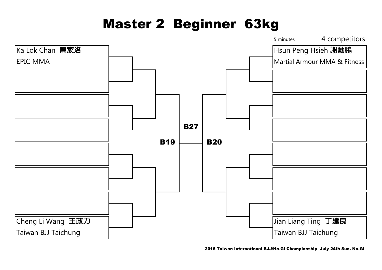## Master 2 Beginner 63kg

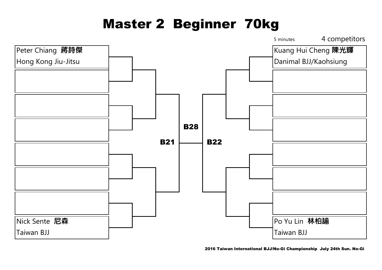# Master 2 Beginner 70kg



2016 Taiwan International BJJ/No-Gi Championship July 24th Sun. No-Gi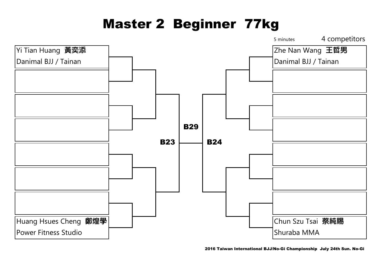# Master 2 Beginner 77kg



2016 Taiwan International BJJ/No-Gi Championship July 24th Sun. No-Gi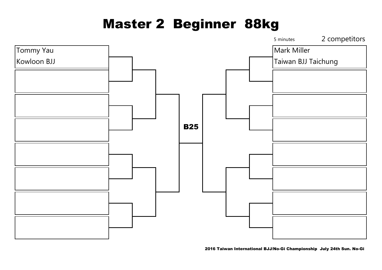### Master 2 Beginner 88kg



2016 Taiwan International BJJ/No-Gi Championship July 24th Sun. No-Gi